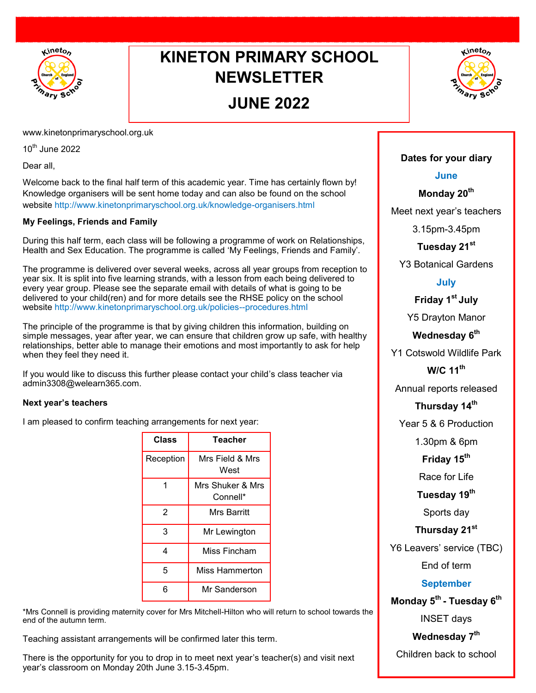

## **KINETON PRIMARY SCHOOL NEWSLETTER**

### **JUNE 2022**



www.kinetonprimaryschool.org.uk

 $10^{th}$  June 2022

Dear all,

Welcome back to the final half term of this academic year. Time has certainly flown by! Knowledge organisers will be sent home today and can also be found on the school website http://www.kinetonprimaryschool.org.uk/knowledge-organisers.html

#### **My Feelings, Friends and Family**

During this half term, each class will be following a programme of work on Relationships, Health and Sex Education. The programme is called 'My Feelings, Friends and Family'.

The programme is delivered over several weeks, across all year groups from reception to year six. It is split into five learning strands, with a lesson from each being delivered to every year group. Please see the separate email with details of what is going to be delivered to your child(ren) and for more details see the RHSE policy on the school website http://www.kinetonprimaryschool.org.uk/policies--procedures.html

The principle of the programme is that by giving children this information, building on simple messages, year after year, we can ensure that children grow up safe, with healthy relationships, better able to manage their emotions and most importantly to ask for help when they feel they need it.

If you would like to discuss this further please contact your child's class teacher via admin3308@welearn365.com.

#### **Next year's teachers**

I am pleased to confirm teaching arrangements for next year:

| Class     | Teacher                      |
|-----------|------------------------------|
| Reception | Mrs Field & Mrs<br>West      |
| 1         | Mrs Shuker & Mrs<br>Connell* |
| 2         | Mrs Barritt                  |
| 3         | Mr Lewington                 |
| 4         | Miss Fincham                 |
| 5         | Miss Hammerton               |
| 6         | Mr Sanderson                 |

\*Mrs Connell is providing maternity cover for Mrs Mitchell-Hilton who will return to school towards the end of the autumn term.

Teaching assistant arrangements will be confirmed later this term.

There is the opportunity for you to drop in to meet next year's teacher(s) and visit next year's classroom on Monday 20th June 3.15-3.45pm.

#### **Dates for your diary**

#### **June**

**Monday 20th**

Meet next year's teachers

3.15pm-3.45pm

#### **Tuesday 21st**

Y3 Botanical Gardens

#### **July**

**Friday 1st July**

Y5 Drayton Manor

#### **Wednesday 6th**

Y1 Cotswold Wildlife Park

**W/C 11th**

Annual reports released

#### **Thursday 14th**

Year 5 & 6 Production

1.30pm & 6pm

**Friday 15th**

Race for Life

**Tuesday 19th**

Sports day

**Thursday 21st**

Y6 Leavers' service (TBC)

End of term

#### **September**

**Monday 5th - Tuesday 6th**

INSET days

**Wednesday 7th**

Children back to school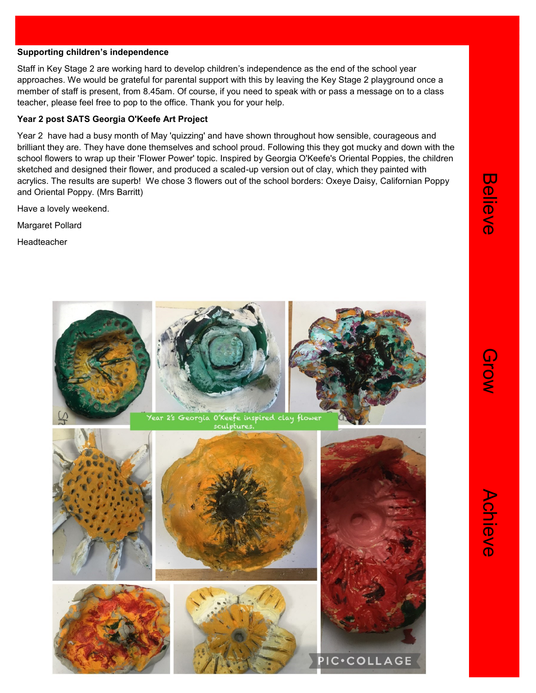#### **Supporting children's independence**

Staff in Key Stage 2 are working hard to develop children's independence as the end of the school year approaches. We would be grateful for parental support with this by leaving the Key Stage 2 playground once a member of staff is present, from 8.45am. Of course, if you need to speak with or pass a message on to a class teacher, please feel free to pop to the office. Thank you for your help.

#### **Year 2 post SATS Georgia O'Keefe Art Project**

Year 2 have had a busy month of May 'quizzing' and have shown throughout how sensible, courageous and brilliant they are. They have done themselves and school proud. Following this they got mucky and down with the school flowers to wrap up their 'Flower Power' topic. Inspired by Georgia O'Keefe's Oriental Poppies, the children sketched and designed their flower, and produced a scaled-up version out of clay, which they painted with acrylics. The results are superb! We chose 3 flowers out of the school borders: Oxeye Daisy, Californian Poppy and Oriental Poppy. (Mrs Barritt)

Have a lovely weekend.

Margaret Pollard

Headteacher